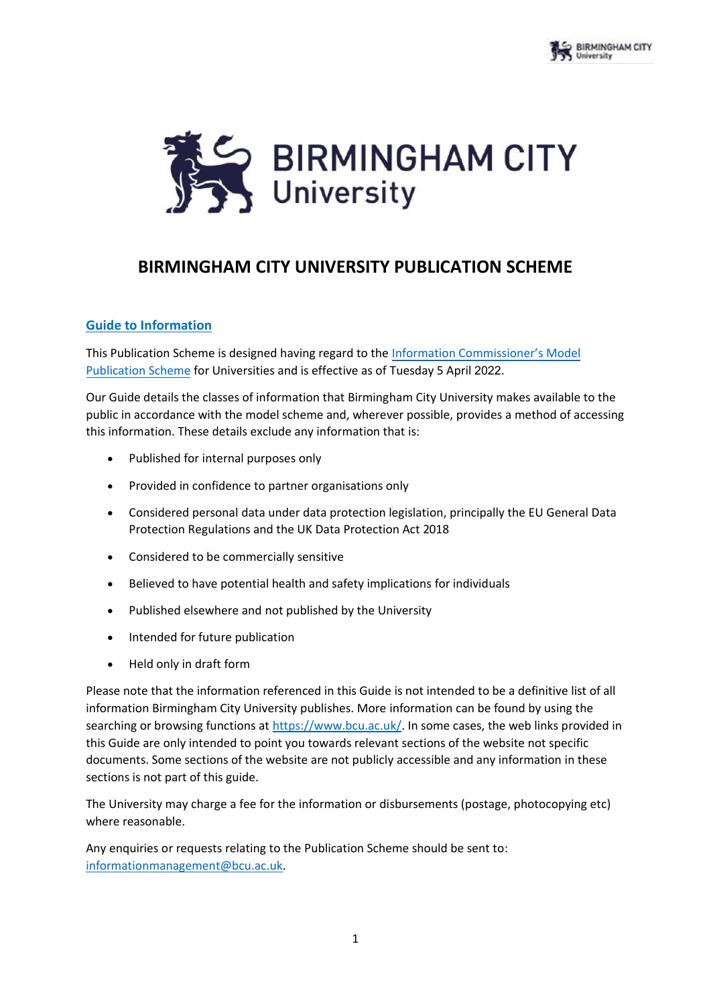

## **BIRMINGHAM CITY UNIVERSITY PUBLICATION SCHEME**

#### **Guide to Information**

This Publication Scheme is designed having regard to the [Information Commissioner's Model](https://ico.org.uk/media/for-organisations/documents/1153/model-publication-scheme.pdf) [Publication Scheme](https://ico.org.uk/media/for-organisations/documents/1153/model-publication-scheme.pdf) for Universities and is effective as of Tuesday 5 April 2022.

Our Guide details the classes of information that Birmingham City University makes available to the public in accordance with the model scheme and, wherever possible, provides a method of accessing this information. These details exclude any information that is:

- Published for internal purposes only
- Provided in confidence to partner organisations only
- Considered personal data under data protection legislation, principally the EU General Data Protection Regulations and the UK Data Protection Act 2018
- Considered to be commercially sensitive
- Believed to have potential health and safety implications for individuals
- Published elsewhere and not published by the University
- Intended for future publication
- Held only in draft form

Please note that the information referenced in this Guide is not intended to be a definitive list of all information Birmingham City University publishes. More information can be found by using the searching or browsing functions at [https://www.bcu.ac.uk/.](https://www.bcu.ac.uk/) In some cases, the web links provided in this Guide are only intended to point you towards relevant sections of the website not specific documents. Some sections of the website are not publicly accessible and any information in these sections is not part of this guide.

The University may charge a fee for the information or disbursements (postage, photocopying etc) where reasonable.

Any enquiries or requests relating to the Publication Scheme should be sent to: [informationmanagement@bcu.ac.uk.](mailto:informationmanagement@bcu.ac.uk)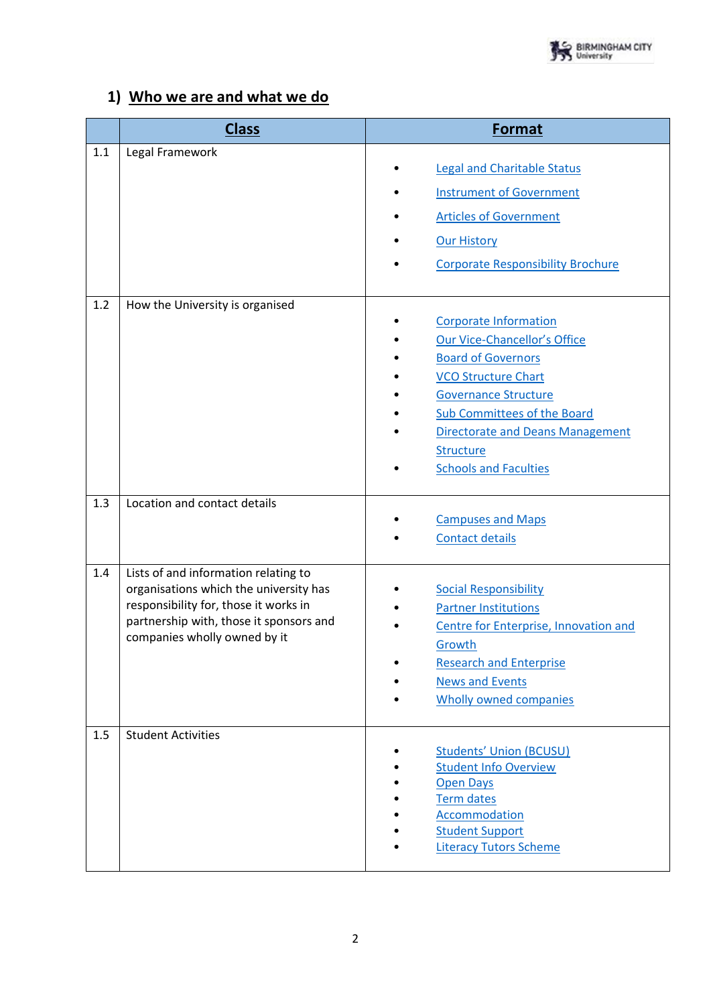

### **1) Who we are and what we do**

|     | <b>Class</b>                                                                                                                                                                                       | <b>Format</b>                                                                                                                                                                                                                                                                               |
|-----|----------------------------------------------------------------------------------------------------------------------------------------------------------------------------------------------------|---------------------------------------------------------------------------------------------------------------------------------------------------------------------------------------------------------------------------------------------------------------------------------------------|
| 1.1 | Legal Framework                                                                                                                                                                                    | <b>Legal and Charitable Status</b><br><b>Instrument of Government</b><br><b>Articles of Government</b><br><b>Our History</b><br><b>Corporate Responsibility Brochure</b>                                                                                                                    |
| 1.2 | How the University is organised                                                                                                                                                                    | <b>Corporate Information</b><br>Our Vice-Chancellor's Office<br><b>Board of Governors</b><br><b>VCO Structure Chart</b><br><b>Governance Structure</b><br><b>Sub Committees of the Board</b><br><b>Directorate and Deans Management</b><br><b>Structure</b><br><b>Schools and Faculties</b> |
| 1.3 | Location and contact details                                                                                                                                                                       | <b>Campuses and Maps</b><br><b>Contact details</b>                                                                                                                                                                                                                                          |
| 1.4 | Lists of and information relating to<br>organisations which the university has<br>responsibility for, those it works in<br>partnership with, those it sponsors and<br>companies wholly owned by it | <b>Social Responsibility</b><br><b>Partner Institutions</b><br><b>Centre for Enterprise, Innovation and</b><br>Growth<br><b>Research and Enterprise</b><br><b>News and Events</b><br><b>Wholly owned companies</b>                                                                          |
| 1.5 | <b>Student Activities</b>                                                                                                                                                                          | <b>Students' Union (BCUSU)</b><br><b>Student Info Overview</b><br><b>Open Days</b><br><b>Term dates</b><br>Accommodation<br><b>Student Support</b><br><b>Literacy Tutors Scheme</b>                                                                                                         |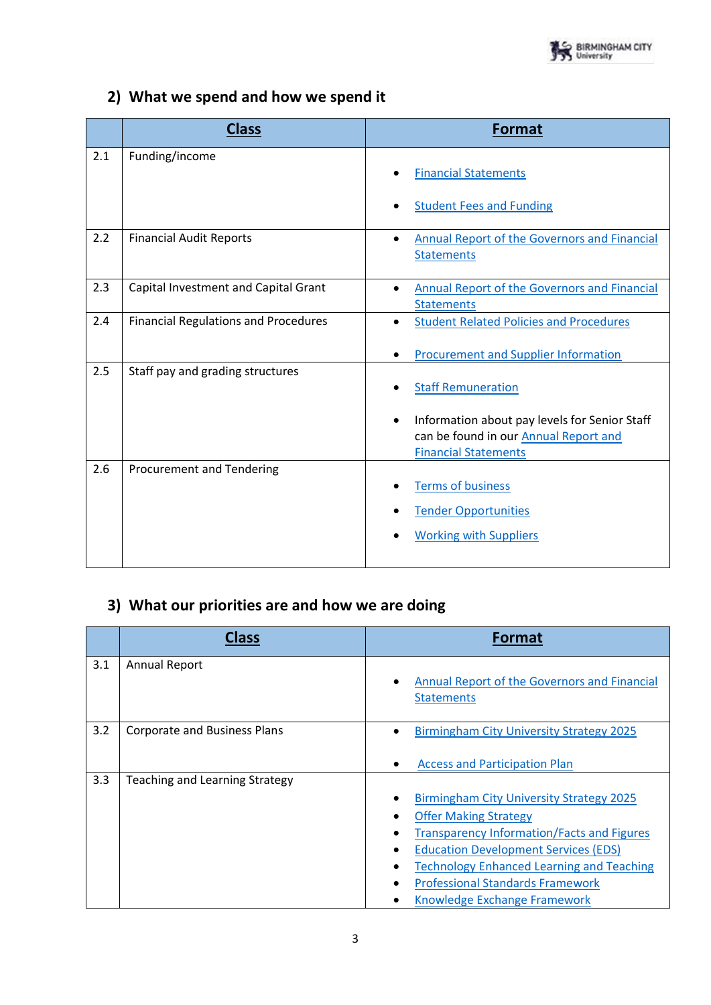## **2) What we spend and how we spend it**

|     | <b>Class</b>                                | Format                                                                                                                                                                 |
|-----|---------------------------------------------|------------------------------------------------------------------------------------------------------------------------------------------------------------------------|
| 2.1 | Funding/income                              | <b>Financial Statements</b>                                                                                                                                            |
|     |                                             | <b>Student Fees and Funding</b>                                                                                                                                        |
| 2.2 | <b>Financial Audit Reports</b>              | <b>Annual Report of the Governors and Financial</b><br>$\bullet$<br><b>Statements</b>                                                                                  |
| 2.3 | Capital Investment and Capital Grant        | <b>Annual Report of the Governors and Financial</b><br>$\bullet$<br><b>Statements</b>                                                                                  |
| 2.4 | <b>Financial Regulations and Procedures</b> | <b>Student Related Policies and Procedures</b><br>$\bullet$<br><b>Procurement and Supplier Information</b>                                                             |
| 2.5 | Staff pay and grading structures            | <b>Staff Remuneration</b><br>Information about pay levels for Senior Staff<br>$\bullet$<br>can be found in our <b>Annual Report and</b><br><b>Financial Statements</b> |
| 2.6 | Procurement and Tendering                   | <b>Terms of business</b><br><b>Tender Opportunities</b><br><b>Working with Suppliers</b>                                                                               |

# **3) What our priorities are and how we are doing**

|     | <b>Class</b>                          | <b>Format</b>                                                                                                                                                                                                                                                                                               |
|-----|---------------------------------------|-------------------------------------------------------------------------------------------------------------------------------------------------------------------------------------------------------------------------------------------------------------------------------------------------------------|
| 3.1 | <b>Annual Report</b>                  | Annual Report of the Governors and Financial<br><b>Statements</b>                                                                                                                                                                                                                                           |
| 3.2 | <b>Corporate and Business Plans</b>   | <b>Birmingham City University Strategy 2025</b><br><b>Access and Participation Plan</b>                                                                                                                                                                                                                     |
| 3.3 | <b>Teaching and Learning Strategy</b> | <b>Birmingham City University Strategy 2025</b><br><b>Offer Making Strategy</b><br>Transparency Information/Facts and Figures<br><b>Education Development Services (EDS)</b><br><b>Technology Enhanced Learning and Teaching</b><br><b>Professional Standards Framework</b><br>Knowledge Exchange Framework |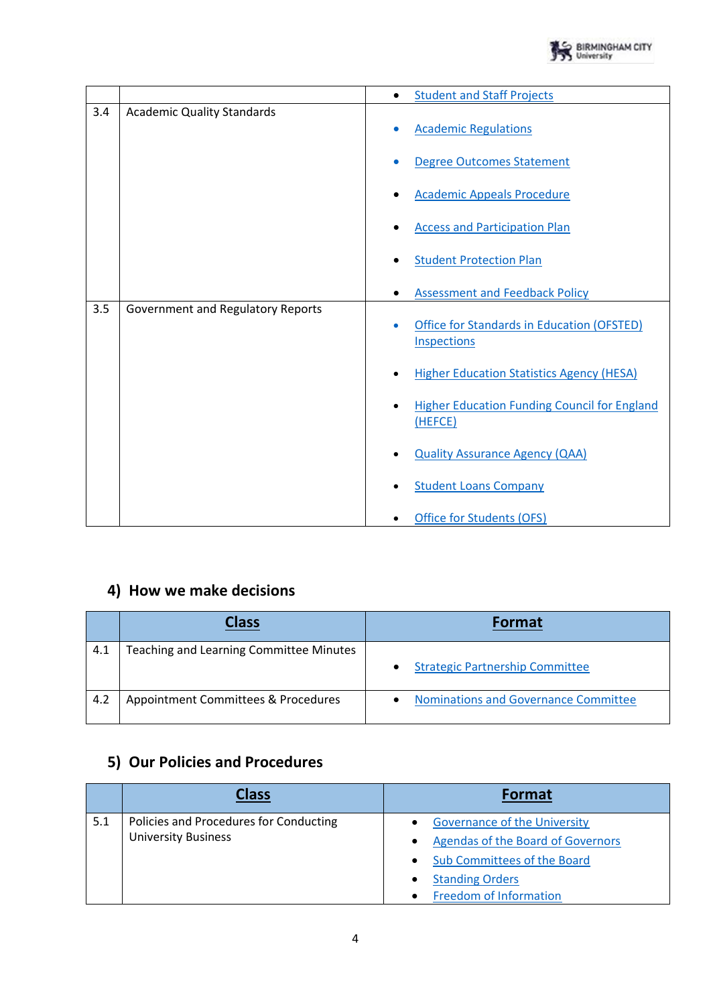

|     |                                   | $\bullet$ | <b>Student and Staff Projects</b>                                |
|-----|-----------------------------------|-----------|------------------------------------------------------------------|
| 3.4 | <b>Academic Quality Standards</b> |           |                                                                  |
|     |                                   |           | <b>Academic Regulations</b>                                      |
|     |                                   |           | <b>Degree Outcomes Statement</b>                                 |
|     |                                   |           | <b>Academic Appeals Procedure</b>                                |
|     |                                   |           | <b>Access and Participation Plan</b>                             |
|     |                                   |           | <b>Student Protection Plan</b>                                   |
|     |                                   |           | <b>Assessment and Feedback Policy</b>                            |
| 3.5 | Government and Regulatory Reports |           |                                                                  |
|     |                                   |           | Office for Standards in Education (OFSTED)<br><b>Inspections</b> |
|     |                                   |           | <b>Higher Education Statistics Agency (HESA)</b>                 |
|     |                                   |           | <b>Higher Education Funding Council for England</b><br>(HEFCE)   |
|     |                                   |           | <b>Quality Assurance Agency (QAA)</b>                            |
|     |                                   |           | <b>Student Loans Company</b>                                     |
|     |                                   |           | Office for Students (OFS)                                        |

## **4) How we make decisions**

|     | Class                                   | <b>Format</b>                                            |
|-----|-----------------------------------------|----------------------------------------------------------|
| 4.1 | Teaching and Learning Committee Minutes | <b>Strategic Partnership Committee</b>                   |
| 4.2 | Appointment Committees & Procedures     | <b>Nominations and Governance Committee</b><br>$\bullet$ |

## **5) Our Policies and Procedures**

|     | <b>Class</b>                           | <b>Format</b>                       |
|-----|----------------------------------------|-------------------------------------|
| 5.1 | Policies and Procedures for Conducting | <b>Governance of the University</b> |
|     | <b>University Business</b>             | Agendas of the Board of Governors   |
|     |                                        | <b>Sub Committees of the Board</b>  |
|     |                                        | <b>Standing Orders</b>              |
|     |                                        | <b>Freedom of Information</b>       |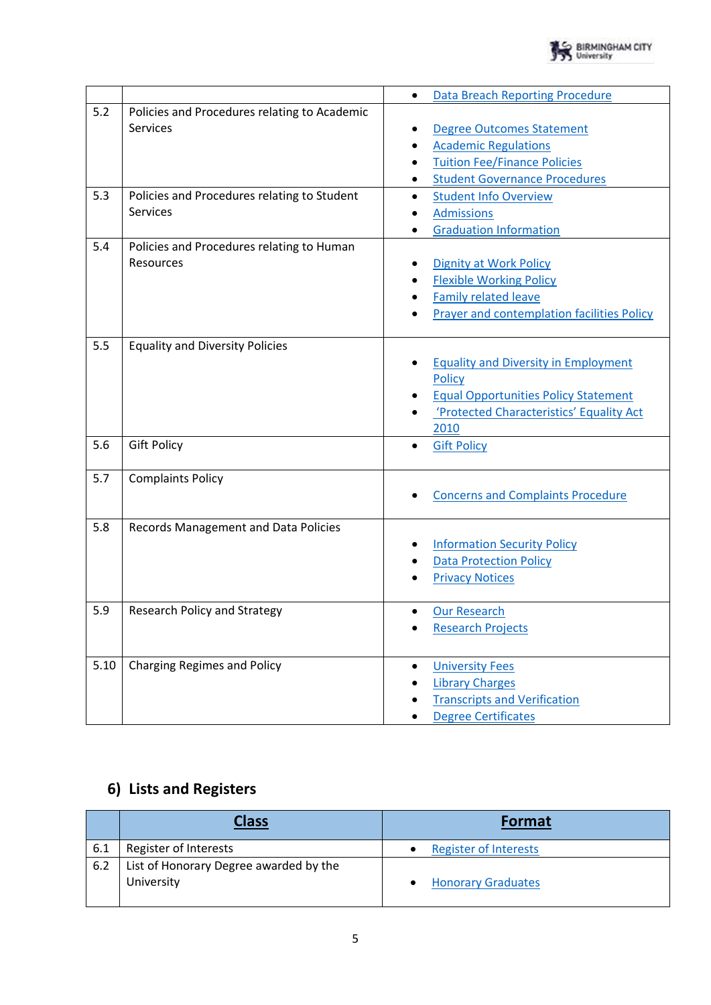

|                   |                                                                                                                                                                                | Data Breach Reporting Procedure<br>$\bullet$                                                                                                                                                                                                      |
|-------------------|--------------------------------------------------------------------------------------------------------------------------------------------------------------------------------|---------------------------------------------------------------------------------------------------------------------------------------------------------------------------------------------------------------------------------------------------|
| 5.2<br>5.3<br>5.4 | Policies and Procedures relating to Academic<br><b>Services</b><br>Policies and Procedures relating to Student<br><b>Services</b><br>Policies and Procedures relating to Human | <b>Degree Outcomes Statement</b><br><b>Academic Regulations</b><br><b>Tuition Fee/Finance Policies</b><br><b>Student Governance Procedures</b><br><b>Student Info Overview</b><br>$\bullet$<br><b>Admissions</b><br><b>Graduation Information</b> |
|                   | Resources                                                                                                                                                                      | <b>Dignity at Work Policy</b><br><b>Flexible Working Policy</b><br><b>Family related leave</b><br><b>Prayer and contemplation facilities Policy</b>                                                                                               |
| 5.5               | <b>Equality and Diversity Policies</b>                                                                                                                                         | <b>Equality and Diversity in Employment</b><br>Policy<br><b>Equal Opportunities Policy Statement</b><br>'Protected Characteristics' Equality Act<br>2010                                                                                          |
| 5.6               | <b>Gift Policy</b>                                                                                                                                                             | <b>Gift Policy</b><br>$\bullet$                                                                                                                                                                                                                   |
| 5.7               | <b>Complaints Policy</b>                                                                                                                                                       | <b>Concerns and Complaints Procedure</b>                                                                                                                                                                                                          |
| 5.8               | Records Management and Data Policies                                                                                                                                           | <b>Information Security Policy</b><br><b>Data Protection Policy</b><br><b>Privacy Notices</b>                                                                                                                                                     |
| 5.9               | <b>Research Policy and Strategy</b>                                                                                                                                            | <b>Our Research</b><br><b>Research Projects</b>                                                                                                                                                                                                   |
| 5.10              | <b>Charging Regimes and Policy</b>                                                                                                                                             | <b>University Fees</b><br>$\bullet$<br><b>Library Charges</b><br><b>Transcripts and Verification</b><br><b>Degree Certificates</b>                                                                                                                |

## **6) Lists and Registers**

|     | <b>Class</b>                           | <b>Format</b>                |
|-----|----------------------------------------|------------------------------|
| 6.1 | Register of Interests                  | <b>Register of Interests</b> |
| 6.2 | List of Honorary Degree awarded by the |                              |
|     | University                             | <b>Honorary Graduates</b>    |